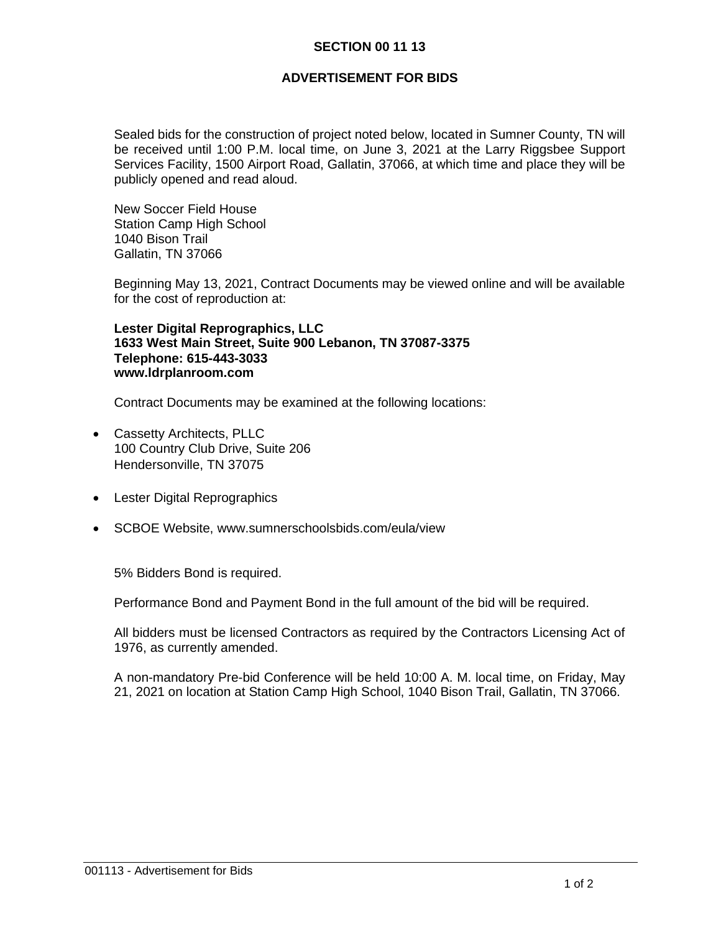## **SECTION 00 11 13**

## **ADVERTISEMENT FOR BIDS**

Sealed bids for the construction of project noted below, located in Sumner County, TN will be received until 1:00 P.M. local time, on June 3, 2021 at the Larry Riggsbee Support Services Facility, 1500 Airport Road, Gallatin, 37066, at which time and place they will be publicly opened and read aloud.

New Soccer Field House Station Camp High School 1040 Bison Trail Gallatin, TN 37066

Beginning May 13, 2021, Contract Documents may be viewed online and will be available for the cost of reproduction at:

**Lester Digital Reprographics, LLC 1633 West Main Street, Suite 900 Lebanon, TN 37087-3375 Telephone: 615-443-3033 www.ldrplanroom.com**

Contract Documents may be examined at the following locations:

- Cassetty Architects, PLLC 100 Country Club Drive, Suite 206 Hendersonville, TN 37075
- **Lester Digital Reprographics**
- SCBOE Website, www.sumnerschoolsbids.com/eula/view

5% Bidders Bond is required.

Performance Bond and Payment Bond in the full amount of the bid will be required.

All bidders must be licensed Contractors as required by the Contractors Licensing Act of 1976, as currently amended.

A non-mandatory Pre-bid Conference will be held 10:00 A. M. local time, on Friday, May 21, 2021 on location at Station Camp High School, 1040 Bison Trail, Gallatin, TN 37066.